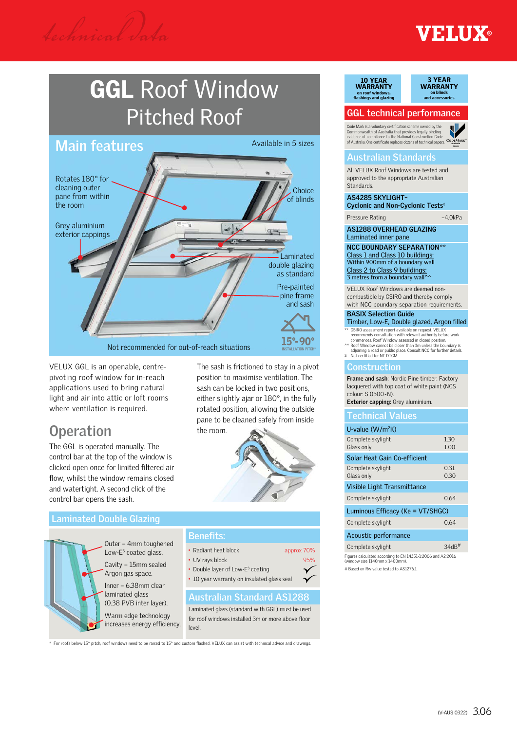**ETAUX®** 

### GGL Roof Window Pitched Roof



VELUX GGL is an openable, centrepivoting roof window for in-reach applications used to bring natural light and air into attic or loft rooms where ventilation is required.

*technical* d*ata*

### **Operation**

The GGL is operated manually. The control bar at the top of the window is clicked open once for limited filtered air flow, whilst the window remains closed and watertight. A second click of the control bar opens the sash.

### **Laminated Double Glazing**



Outer – 4mm toughened Low- $E^3$  coated glass. Cavity – 15mm sealed

Argon gas space. Inner – 6.38mm clear laminated glass (0.38 PVB inter layer).

Warm edge technology increases energy efficiency.

the room.

- **Benefits:**
- Radiant heat block approx 70%
- UV rays block 95%
- Double layer of Low-E<sup>3</sup> coating
- 10 year warranty on insulated glass seal

### **Australian Standard AS1288**

The sash is frictioned to stay in a pivot position to maximise ventilation. The sash can be locked in two positions, either slightly ajar or 180°, in the fully rotated position, allowing the outside pane to be cleaned safely from inside

Laminated glass (standard with GGL) must be used for roof windows installed 3m or more above floor level.

\* For roofs below 15° pitch, roof windows need to be raised to 15° and custom flashed. VELUX can assist with technical advice and drawings.

### 10 YEAR WARRANTY on roof windows,<br>flashings and glazing



### **GGL technical performance**

**Australia Australia** of Australia. One certificate replaces dozens of technical papers. Code Mark is a voluntary certification scheme owned by the Commonwealth of Australia that provides legally binding evidence of compliance to the National Construction Code



### **Australian Standards**

All VELUX Roof Windows are tested and approved to the appropriate Australian Standards.

**AS4285 SKYLIGHT– Cyclonic and Non-Cyclonic Tests**

Pressure Rating –4.0kPa

**AS1288 OVERHEAD GLAZING** Laminated inner pane

**NCC BOUNDARY SEPARATION**\*\* Class 1 and Class 10 buildings: Within 900mm of a boundary wall Class 2 to Class 9 buildings:<br>3 metres from a boundary wall^^

VELUX Roof Windows are deemed noncombustible by CSIRO and thereby comply with NCC boundary separation requirements.

#### **BASIX Selection Guide**

- Timber, Low-E, Double glazed, Argon filled
- 
- 
- \*\* CSIRO assessment report available on request VELUX<br>comments consultation with relevant authority before work<br>commences. Roof Window assessed in closed position.<br>^^ Roof Window cannot be closer than 3m unless the boundar

### **Construction**

**Frame and sash**: Nordic Pine timber. Factory lacquered with top coat of white paint (NCS colour: S 0500-N). **Exterior capping:** Grey aluminium.

### **Technical Values**

| U-value $(W/m^2K)$               |      |  |  |  |  |
|----------------------------------|------|--|--|--|--|
| Complete skylight                | 1.30 |  |  |  |  |
| Glass only                       | 1.00 |  |  |  |  |
| Solar Heat Gain Co-efficient     |      |  |  |  |  |
| Complete skylight                | 0.31 |  |  |  |  |
| Glass only                       | 0.30 |  |  |  |  |
| Visible Light Transmittance      |      |  |  |  |  |
| Complete skylight                | 064  |  |  |  |  |
| Luminous Efficacy (Ke = VT/SHGC) |      |  |  |  |  |
| Complete skylight                | 064  |  |  |  |  |
| Acoustic performance             |      |  |  |  |  |
| Complete skylight                | 34dB |  |  |  |  |
|                                  |      |  |  |  |  |

Figures calculated according to EN 14351-1:2006 and A2:2016 <sub>gan as</sub> amamaran masarang asl.<br>tindow size 1140mm x 1400m # Based on Rw value tested to AS1276.1.